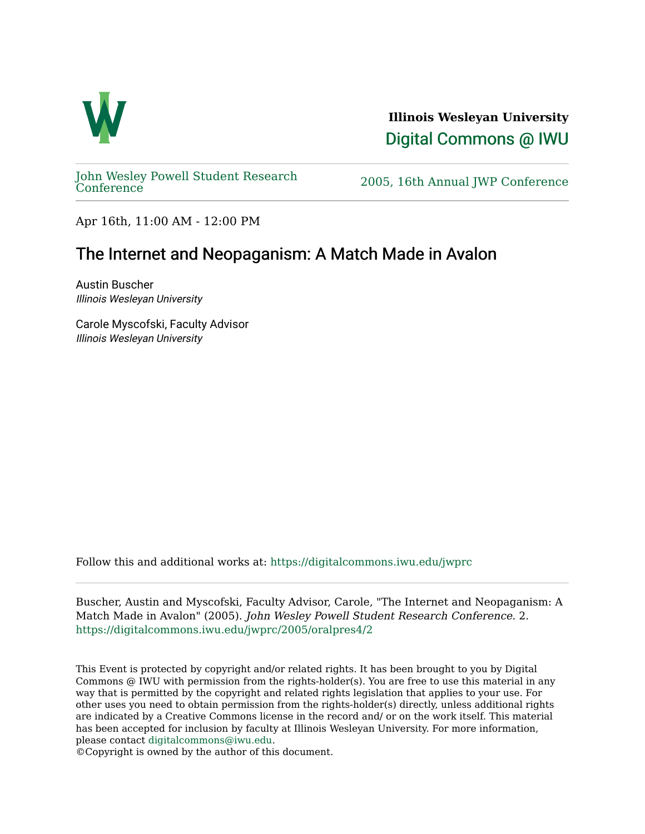

**Illinois Wesleyan University**  [Digital Commons @ IWU](https://digitalcommons.iwu.edu/) 

[John Wesley Powell Student Research](https://digitalcommons.iwu.edu/jwprc) 

2005, 16th Annual JWP [Conference](https://digitalcommons.iwu.edu/jwprc)

Apr 16th, 11:00 AM - 12:00 PM

## The Internet and Neopaganism: A Match Made in Avalon

Austin Buscher Illinois Wesleyan University

Carole Myscofski, Faculty Advisor Illinois Wesleyan University

Follow this and additional works at: [https://digitalcommons.iwu.edu/jwprc](https://digitalcommons.iwu.edu/jwprc?utm_source=digitalcommons.iwu.edu%2Fjwprc%2F2005%2Foralpres4%2F2&utm_medium=PDF&utm_campaign=PDFCoverPages) 

Buscher, Austin and Myscofski, Faculty Advisor, Carole, "The Internet and Neopaganism: A Match Made in Avalon" (2005). John Wesley Powell Student Research Conference. 2. [https://digitalcommons.iwu.edu/jwprc/2005/oralpres4/2](https://digitalcommons.iwu.edu/jwprc/2005/oralpres4/2?utm_source=digitalcommons.iwu.edu%2Fjwprc%2F2005%2Foralpres4%2F2&utm_medium=PDF&utm_campaign=PDFCoverPages)

This Event is protected by copyright and/or related rights. It has been brought to you by Digital Commons @ IWU with permission from the rights-holder(s). You are free to use this material in any way that is permitted by the copyright and related rights legislation that applies to your use. For other uses you need to obtain permission from the rights-holder(s) directly, unless additional rights are indicated by a Creative Commons license in the record and/ or on the work itself. This material has been accepted for inclusion by faculty at Illinois Wesleyan University. For more information, please contact [digitalcommons@iwu.edu.](mailto:digitalcommons@iwu.edu)

©Copyright is owned by the author of this document.